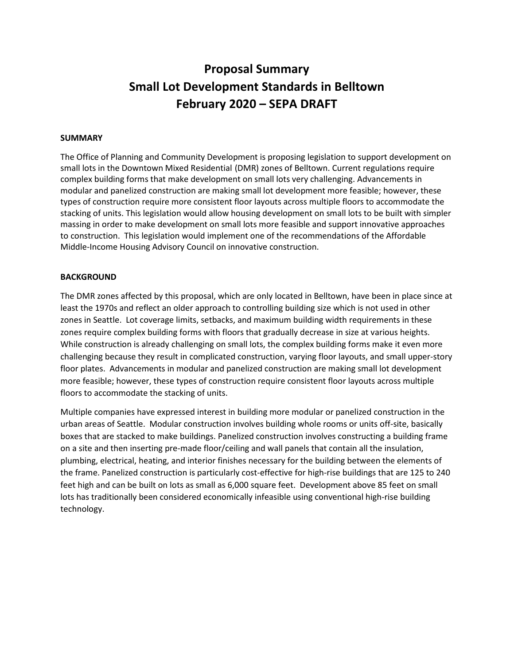# **Proposal Summary Small Lot Development Standards in Belltown February 2020 – SEPA DRAFT**

#### **SUMMARY**

The Office of Planning and Community Development is proposing legislation to support development on small lots in the Downtown Mixed Residential (DMR) zones of Belltown. Current regulations require complex building forms that make development on small lots very challenging. Advancements in modular and panelized construction are making small lot development more feasible; however, these types of construction require more consistent floor layouts across multiple floors to accommodate the stacking of units. This legislation would allow housing development on small lots to be built with simpler massing in order to make development on small lots more feasible and support innovative approaches to construction. This legislation would implement one of the recommendations of the Affordable Middle-Income Housing Advisory Council on innovative construction.

#### **BACKGROUND**

The DMR zones affected by this proposal, which are only located in Belltown, have been in place since at least the 1970s and reflect an older approach to controlling building size which is not used in other zones in Seattle. Lot coverage limits, setbacks, and maximum building width requirements in these zones require complex building forms with floors that gradually decrease in size at various heights. While construction is already challenging on small lots, the complex building forms make it even more challenging because they result in complicated construction, varying floor layouts, and small upper-story floor plates. Advancements in modular and panelized construction are making small lot development more feasible; however, these types of construction require consistent floor layouts across multiple floors to accommodate the stacking of units.

Multiple companies have expressed interest in building more modular or panelized construction in the urban areas of Seattle. Modular construction involves building whole rooms or units off-site, basically boxes that are stacked to make buildings. Panelized construction involves constructing a building frame on a site and then inserting pre-made floor/ceiling and wall panels that contain all the insulation, plumbing, electrical, heating, and interior finishes necessary for the building between the elements of the frame. Panelized construction is particularly cost-effective for high-rise buildings that are 125 to 240 feet high and can be built on lots as small as 6,000 square feet. Development above 85 feet on small lots has traditionally been considered economically infeasible using conventional high-rise building technology.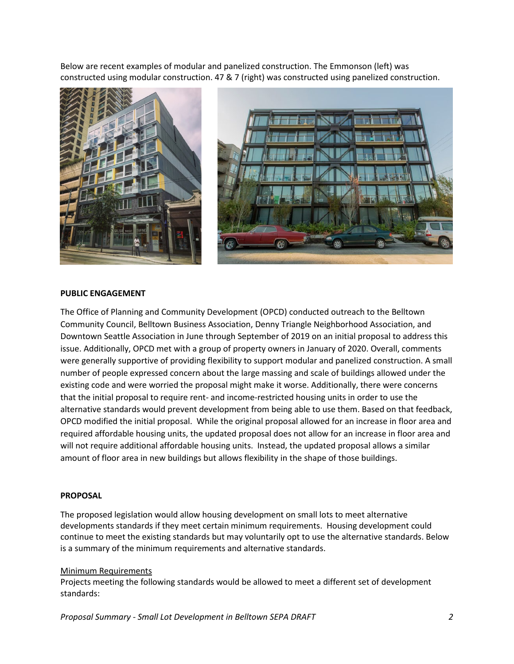Below are recent examples of modular and panelized construction. The Emmonson (left) was constructed using modular construction. 47 & 7 (right) was constructed using panelized construction.





#### **PUBLIC ENGAGEMENT**

The Office of Planning and Community Development (OPCD) conducted outreach to the Belltown Community Council, Belltown Business Association, Denny Triangle Neighborhood Association, and Downtown Seattle Association in June through September of 2019 on an initial proposal to address this issue. Additionally, OPCD met with a group of property owners in January of 2020. Overall, comments were generally supportive of providing flexibility to support modular and panelized construction. A small number of people expressed concern about the large massing and scale of buildings allowed under the existing code and were worried the proposal might make it worse. Additionally, there were concerns that the initial proposal to require rent- and income-restricted housing units in order to use the alternative standards would prevent development from being able to use them. Based on that feedback, OPCD modified the initial proposal. While the original proposal allowed for an increase in floor area and required affordable housing units, the updated proposal does not allow for an increase in floor area and will not require additional affordable housing units. Instead, the updated proposal allows a similar amount of floor area in new buildings but allows flexibility in the shape of those buildings.

#### **PROPOSAL**

The proposed legislation would allow housing development on small lots to meet alternative developments standards if they meet certain minimum requirements. Housing development could continue to meet the existing standards but may voluntarily opt to use the alternative standards. Below is a summary of the minimum requirements and alternative standards.

#### Minimum Requirements

Projects meeting the following standards would be allowed to meet a different set of development standards:

*Proposal Summary - Small Lot Development in Belltown SEPA DRAFT 2*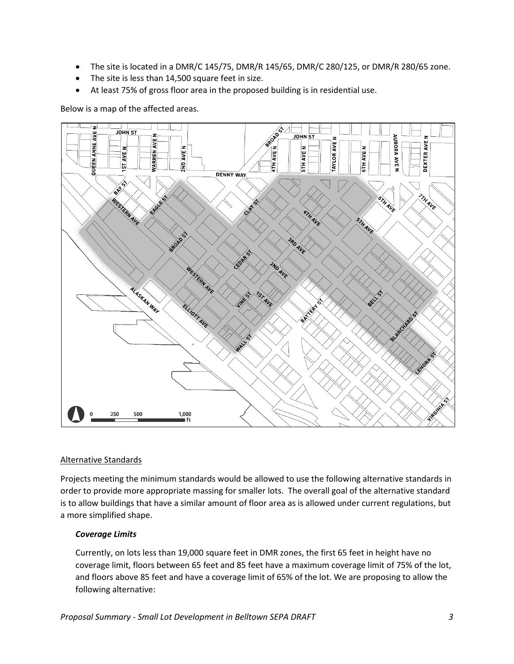- The site is located in a DMR/C 145/75, DMR/R 145/65, DMR/C 280/125, or DMR/R 280/65 zone.
- The site is less than 14,500 square feet in size.
- At least 75% of gross floor area in the proposed building is in residential use.

Below is a map of the affected areas.



## Alternative Standards

Projects meeting the minimum standards would be allowed to use the following alternative standards in order to provide more appropriate massing for smaller lots. The overall goal of the alternative standard is to allow buildings that have a similar amount of floor area as is allowed under current regulations, but a more simplified shape.

## *Coverage Limits*

Currently, on lots less than 19,000 square feet in DMR zones, the first 65 feet in height have no coverage limit, floors between 65 feet and 85 feet have a maximum coverage limit of 75% of the lot, and floors above 85 feet and have a coverage limit of 65% of the lot. We are proposing to allow the following alternative: